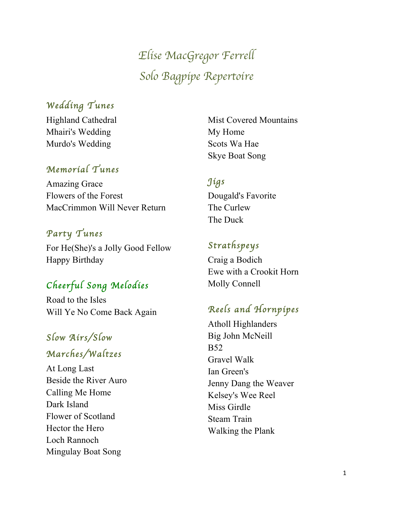*Elise MacGregor Ferrell Solo Bagpipe Repertoire*

### *Wedding Tunes*

Highland Cathedral Mhairi's Wedding Murdo's Wedding

#### *Memorial Tunes*

Amazing Grace Flowers of the Forest MacCrimmon Will Never Return

#### *Party Tunes*

For He(She)'s a Jolly Good Fellow Happy Birthday

## *Cheerful Song Melodies*

Road to the Isles Will Ye No Come Back Again

# *Slow Airs/Slow Marches/Waltzes*

At Long Last Beside the River Auro Calling Me Home Dark Island Flower of Scotland Hector the Hero Loch Rannoch Mingulay Boat Song

Mist Covered Mountains My Home Scots Wa Hae Skye Boat Song

#### *Jigs*

Dougald's Favorite The Curlew The Duck

### *Strathspeys*

Craig a Bodich Ewe with a Crookit Horn Molly Connell

### *Reels and Hornpipes*

Atholl Highlanders Big John McNeill B52 Gravel Walk Ian Green's Jenny Dang the Weaver Kelsey's Wee Reel Miss Girdle Steam Train Walking the Plank